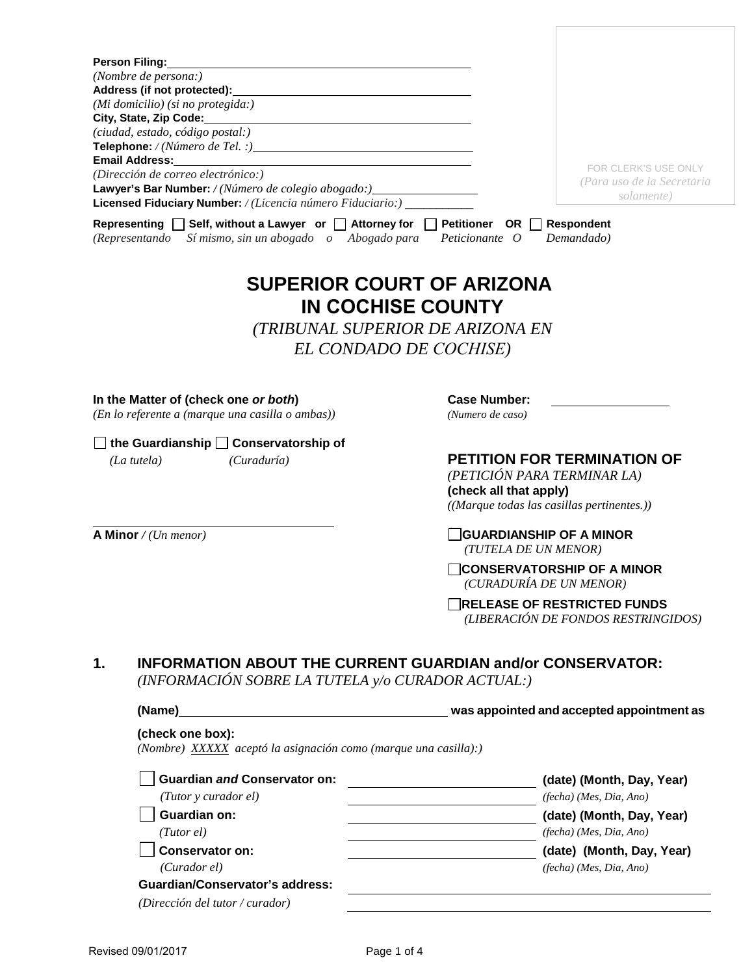|    | Person Filing:<br>(Nombre de persona:)                                                                                                                             |                                                                                                                                           |  |  |  |
|----|--------------------------------------------------------------------------------------------------------------------------------------------------------------------|-------------------------------------------------------------------------------------------------------------------------------------------|--|--|--|
|    | Address (if not protected):                                                                                                                                        |                                                                                                                                           |  |  |  |
|    | (Mi domicilio) (si no protegida:)                                                                                                                                  |                                                                                                                                           |  |  |  |
|    | City, State, Zip Code:                                                                                                                                             |                                                                                                                                           |  |  |  |
|    | (ciudad, estado, código postal:)                                                                                                                                   |                                                                                                                                           |  |  |  |
|    | <b>Email Address:</b>                                                                                                                                              |                                                                                                                                           |  |  |  |
|    | (Dirección de correo electrónico:)                                                                                                                                 | FOR CLERK'S USE ONLY                                                                                                                      |  |  |  |
|    | Lawyer's Bar Number: / (Número de colegio abogado:)<br>Licensed Fiduciary Number: / (Licencia número Fiduciario:) ________                                         | (Para uso de la Secretaria<br>solamente)                                                                                                  |  |  |  |
|    | Representing $\Box$ Self, without a Lawyer or $\Box$ Attorney for $\Box$ Petitioner OR $\Box$<br>Sí mismo, sin un abogado o Abogado para<br><i>(Representando)</i> | <b>Respondent</b><br>Peticionante O<br>Demandado)                                                                                         |  |  |  |
|    |                                                                                                                                                                    | <b>SUPERIOR COURT OF ARIZONA</b><br><b>IN COCHISE COUNTY</b><br>(TRIBUNAL SUPERIOR DE ARIZONA EN<br>EL CONDADO DE COCHISE)                |  |  |  |
|    | In the Matter of (check one or both)<br>(En lo referente a (marque una casilla o ambas))                                                                           | <b>Case Number:</b><br>(Numero de caso)                                                                                                   |  |  |  |
|    |                                                                                                                                                                    |                                                                                                                                           |  |  |  |
|    | the Guardianship Conservatorship of<br>$(La$ tutela)<br>(Curaduría)                                                                                                | <b>PETITION FOR TERMINATION OF</b><br>(PETICIÓN PARA TERMINAR LA)<br>(check all that apply)<br>((Marque todas las casillas pertinentes.)) |  |  |  |
|    | A Minor $/(Un \, menor)$                                                                                                                                           | <b>GUARDIANSHIP OF A MINOR</b><br>(TUTELA DE UN MENOR)                                                                                    |  |  |  |
|    |                                                                                                                                                                    | CONSERVATORSHIP OF A MINOR<br>(CURADURÍA DE UN MENOR)                                                                                     |  |  |  |
|    |                                                                                                                                                                    | <b>RELEASE OF RESTRICTED FUNDS</b><br>(LIBERACIÓN DE FONDOS RESTRINGIDOS)                                                                 |  |  |  |
| 1. | <b>INFORMATION ABOUT THE CURRENT GUARDIAN and/or CONSERVATOR:</b><br>(INFORMACIÓN SOBRE LA TUTELA y/o CURADOR ACTUAL:)                                             |                                                                                                                                           |  |  |  |
|    | (Name)                                                                                                                                                             | was appointed and accepted appointment as                                                                                                 |  |  |  |
|    | (check one box):<br>(Nombre) XXXXX aceptó la asignación como (marque una casilla):)                                                                                |                                                                                                                                           |  |  |  |
|    | <b>Guardian and Conservator on:</b>                                                                                                                                | (date) (Month, Day, Year)                                                                                                                 |  |  |  |
|    | (Tutor y curador el)                                                                                                                                               | (fecha) (Mes, Dia, Ano)                                                                                                                   |  |  |  |
|    | <b>Guardian on:</b>                                                                                                                                                | (date) (Month, Day, Year)                                                                                                                 |  |  |  |
|    | $(Tutor$ el)                                                                                                                                                       | (fecha) (Mes, Dia, Ano)                                                                                                                   |  |  |  |
|    | <b>Conservator on:</b>                                                                                                                                             | (date) (Month, Day, Year)                                                                                                                 |  |  |  |
|    | (Curador el)                                                                                                                                                       | (fecha) (Mes, Dia, Ano)                                                                                                                   |  |  |  |
|    | <b>Guardian/Conservator's address:</b>                                                                                                                             |                                                                                                                                           |  |  |  |
|    | (Dirección del tutor / curador)                                                                                                                                    |                                                                                                                                           |  |  |  |
|    |                                                                                                                                                                    |                                                                                                                                           |  |  |  |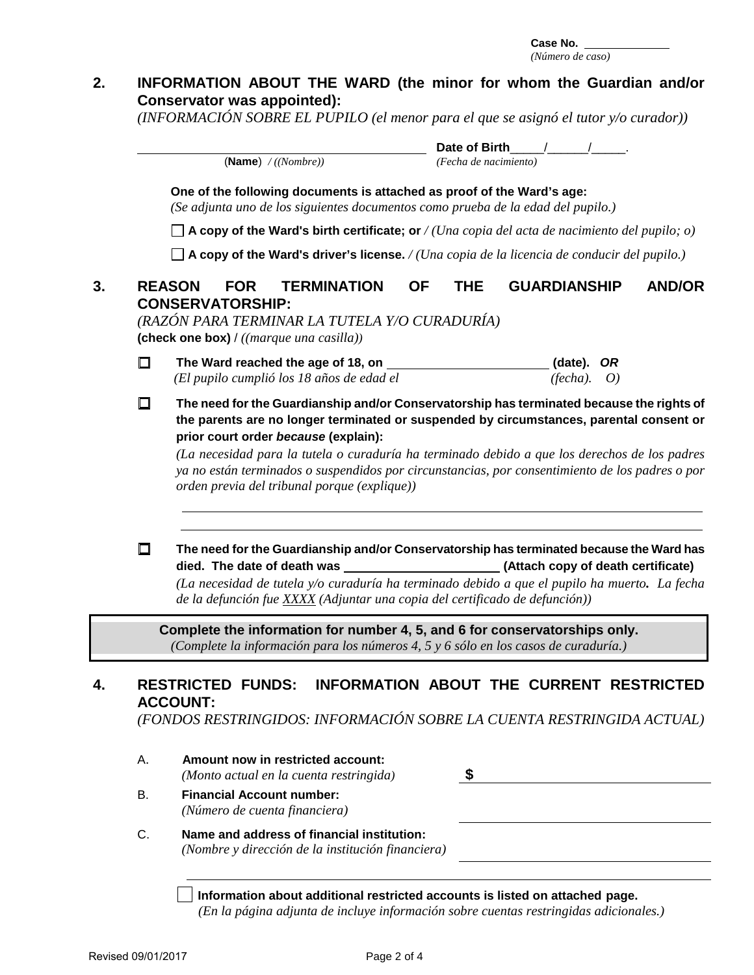**Case No.**  *(Número de caso)*

# **2. INFORMATION ABOUT THE WARD (the minor for whom the Guardian and/or Conservator was appointed):**

*(INFORMACIÓN SOBRE EL PUPILO (el menor para el que se asignó el tutor y/o curador))*

|    | Date of Birth<br>(Name) $/( (Nombre))$<br>(Fecha de nacimiento)                                                                                                                                                                                                                                                                                                          |  |  |  |  |  |  |
|----|--------------------------------------------------------------------------------------------------------------------------------------------------------------------------------------------------------------------------------------------------------------------------------------------------------------------------------------------------------------------------|--|--|--|--|--|--|
|    | One of the following documents is attached as proof of the Ward's age:<br>(Se adjunta uno de los siguientes documentos como prueba de la edad del pupilo.)<br>$\Box$ A copy of the Ward's birth certificate; or / (Una copia del acta de nacimiento del pupilo; o)                                                                                                       |  |  |  |  |  |  |
|    |                                                                                                                                                                                                                                                                                                                                                                          |  |  |  |  |  |  |
|    | $\Box$ A copy of the Ward's driver's license. / (Una copia de la licencia de conducir del pupilo.)                                                                                                                                                                                                                                                                       |  |  |  |  |  |  |
|    | <b>TERMINATION</b><br><b>FOR</b><br><b>OF</b><br><b>THE</b><br><b>GUARDIANSHIP</b><br><b>AND/OR</b><br><b>REASON</b><br><b>CONSERVATORSHIP:</b><br>(RAZÓN PARA TERMINAR LA TUTELA Y/O CURADURÍA)<br>(check one box) $/$ ((marque una casilla))                                                                                                                           |  |  |  |  |  |  |
| n  | The Ward reached the age of 18, on<br>(date).<br><b>OR</b><br>(El pupilo cumplió los 18 años de edad el<br>$(fecha)$ .<br>$\boldsymbol{O}$                                                                                                                                                                                                                               |  |  |  |  |  |  |
| ГI | The need for the Guardianship and/or Conservatorship has terminated because the rights of<br>the parents are no longer terminated or suspended by circumstances, parental consent or<br>prior court order because (explain):                                                                                                                                             |  |  |  |  |  |  |
|    | (La necesidad para la tutela o curaduría ha terminado debido a que los derechos de los padres<br>ya no están terminados o suspendidos por circunstancias, por consentimiento de los padres o por<br>orden previa del tribunal porque (explique))                                                                                                                         |  |  |  |  |  |  |
| П  | The need for the Guardianship and/or Conservatorship has terminated because the Ward has<br>died. The date of death was ______________________________(Attach copy of death certificate)<br>(La necesidad de tutela y/o curaduría ha terminado debido a que el pupilo ha muerto. La fecha<br>de la defunción fue XXXX (Adjuntar una copia del certificado de defunción)) |  |  |  |  |  |  |
|    | Complete the information for number 4, 5, and 6 for conservatorships only.<br>(Complete la información para los números 4, 5 y 6 sólo en los casos de curaduría.)                                                                                                                                                                                                        |  |  |  |  |  |  |

## **4. RESTRICTED FUNDS: INFORMATION ABOUT THE CURRENT RESTRICTED ACCOUNT:**

*(FONDOS RESTRINGIDOS: INFORMACIÓN SOBRE LA CUENTA RESTRINGIDA ACTUAL)*

A. **Amount now in restricted account:** *(Monto actual en la cuenta restringida)* **\$**

*(Número de cuenta financiera)*

C. **Name and address of financial institution:**

B. **Financial Account number:**

*(Nombre y dirección de la institución financiera)*

**Information about additional restricted accounts is listed on attached page.** *(En la página adjunta de incluye información sobre cuentas restringidas adicionales.)*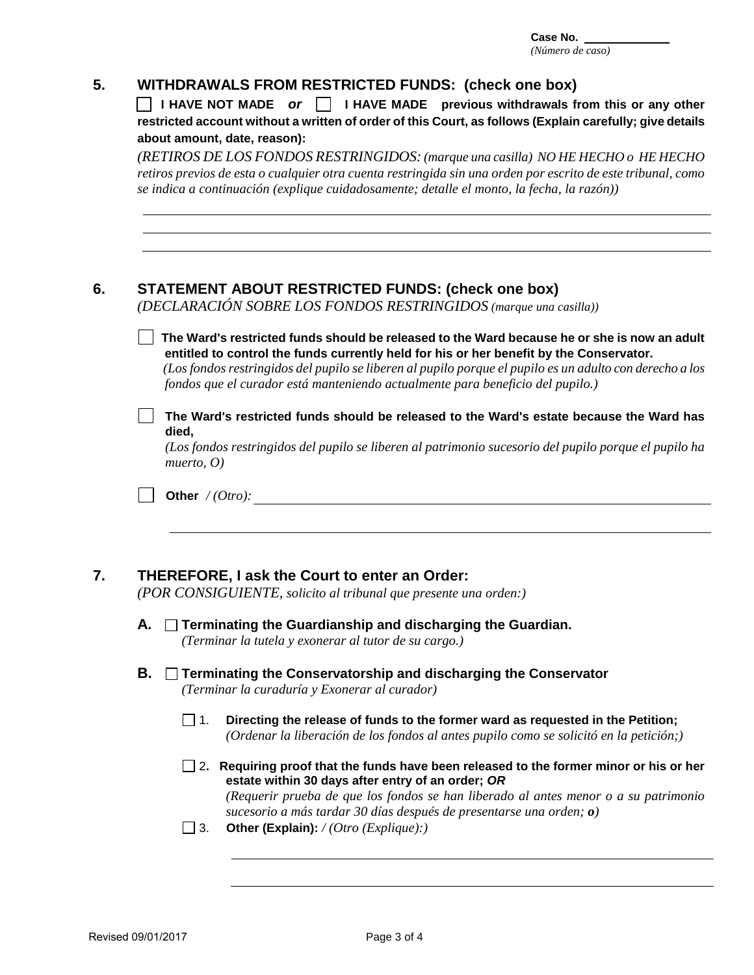| Case No.         |  |
|------------------|--|
| (Número de caso) |  |

# **5. WITHDRAWALS FROM RESTRICTED FUNDS: (check one box)**

 **I HAVE NOT MADE** *or* **I HAVE MADE previous withdrawals from this or any other restricted account without a written of order of this Court, as follows (Explain carefully; give details about amount, date, reason):**

*(RETIROS DE LOS FONDOS RESTRINGIDOS: (marque una casilla) NO HE HECHO o HE HECHO retiros previos de esta o cualquier otra cuenta restringida sin una orden por escrito de este tribunal, como se indica a continuación (explique cuidadosamente; detalle el monto, la fecha, la razón))*

#### **6. STATEMENT ABOUT RESTRICTED FUNDS: (check one box)**

*(DECLARACIÓN SOBRE LOS FONDOS RESTRINGIDOS (marque una casilla))*

- **The Ward's restricted funds should be released to the Ward because he or she is now an adult entitled to control the funds currently held for his or her benefit by the Conservator.**   *(Los fondos restringidos del pupilo se liberen al pupilo porque el pupilo es un adulto con derecho a los fondos que el curador está manteniendo actualmente para beneficio del pupilo.)*
- **The Ward's restricted funds should be released to the Ward's estate because the Ward has died,**

*(Los fondos restringidos del pupilo se liberen al patrimonio sucesorio del pupilo porque el pupilo ha muerto, O)*

**Other** */ (Otro):*

## **7. THEREFORE, I ask the Court to enter an Order:**

*(POR CONSIGUIENTE, solicito al tribunal que presente una orden:)*

- **A. Terminating the Guardianship and discharging the Guardian.** *(Terminar la tutela y exonerar al tutor de su cargo.)*
- **B. Terminating the Conservatorship and discharging the Conservator**  *(Terminar la curaduría y Exonerar al curador)*
	- 1. **Directing the release of funds to the former ward as requested in the Petition;** *(Ordenar la liberación de los fondos al antes pupilo como se solicitó en la petición;)*
	- 2**. Requiring proof that the funds have been released to the former minor or his or her estate within 30 days after entry of an order;** *OR (Requerir prueba de que los fondos se han liberado al antes menor o a su patrimonio*

*sucesorio a más tardar 30 días después de presentarse una orden; o)* 

3. **Other (Explain):** */ (Otro (Explique):)*